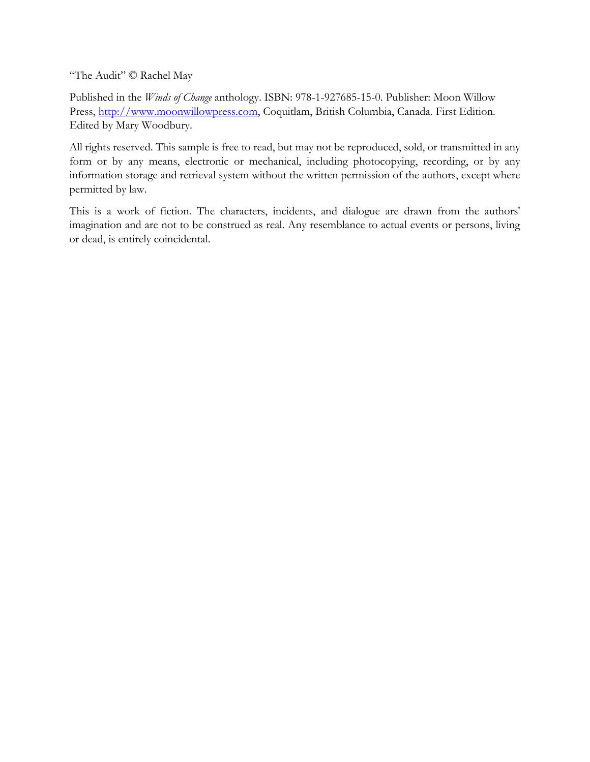"The Audit" © Rachel May

Published in the *Winds of Change* anthology. ISBN: 978-1-927685-15-0. Publisher: Moon Willow Press, http://www.moonwillowpress.com, Coquitlam, British Columbia, Canada. First Edition. Edited by Mary Woodbury.

All rights reserved. This sample is free to read, but may not be reproduced, sold, or transmitted in any form or by any means, electronic or mechanical, including photocopying, recording, or by any information storage and retrieval system without the written permission of the authors, except where permitted by law.

This is a work of fiction. The characters, incidents, and dialogue are drawn from the authors' imagination and are not to be construed as real. Any resemblance to actual events or persons, living or dead, is entirely coincidental.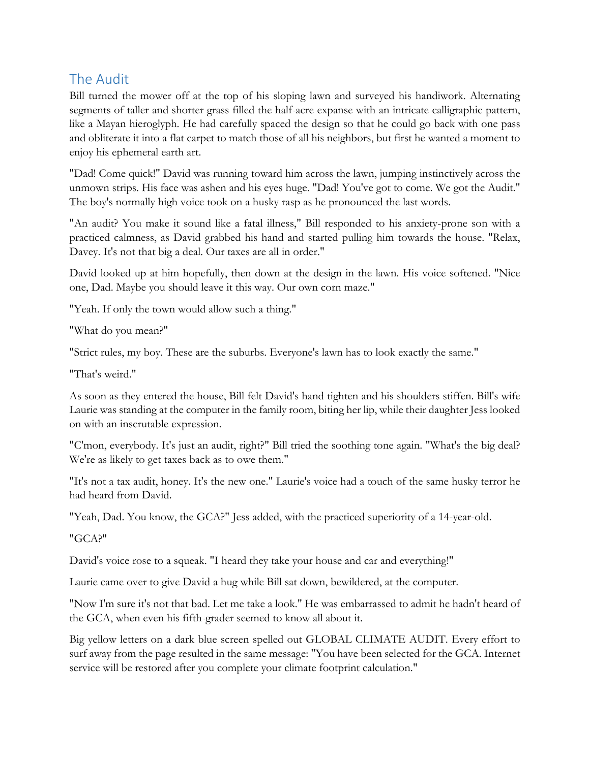## The Audit

Bill turned the mower off at the top of his sloping lawn and surveyed his handiwork. Alternating segments of taller and shorter grass filled the half-acre expanse with an intricate calligraphic pattern, like a Mayan hieroglyph. He had carefully spaced the design so that he could go back with one pass and obliterate it into a flat carpet to match those of all his neighbors, but first he wanted a moment to enjoy his ephemeral earth art.

"Dad! Come quick!" David was running toward him across the lawn, jumping instinctively across the unmown strips. His face was ashen and his eyes huge. "Dad! You've got to come. We got the Audit." The boy's normally high voice took on a husky rasp as he pronounced the last words.

"An audit? You make it sound like a fatal illness," Bill responded to his anxiety-prone son with a practiced calmness, as David grabbed his hand and started pulling him towards the house. "Relax, Davey. It's not that big a deal. Our taxes are all in order."

David looked up at him hopefully, then down at the design in the lawn. His voice softened. "Nice one, Dad. Maybe you should leave it this way. Our own corn maze."

"Yeah. If only the town would allow such a thing."

"What do you mean?"

"Strict rules, my boy. These are the suburbs. Everyone's lawn has to look exactly the same."

"That's weird."

As soon as they entered the house, Bill felt David's hand tighten and his shoulders stiffen. Bill's wife Laurie was standing at the computer in the family room, biting her lip, while their daughter Jess looked on with an inscrutable expression.

"C'mon, everybody. It's just an audit, right?" Bill tried the soothing tone again. "What's the big deal? We're as likely to get taxes back as to owe them."

"It's not a tax audit, honey. It's the new one." Laurie's voice had a touch of the same husky terror he had heard from David.

"Yeah, Dad. You know, the GCA?" Jess added, with the practiced superiority of a 14-year-old.

"GCA?"

David's voice rose to a squeak. "I heard they take your house and car and everything!"

Laurie came over to give David a hug while Bill sat down, bewildered, at the computer.

"Now I'm sure it's not that bad. Let me take a look." He was embarrassed to admit he hadn't heard of the GCA, when even his fifth-grader seemed to know all about it.

Big yellow letters on a dark blue screen spelled out GLOBAL CLIMATE AUDIT. Every effort to surf away from the page resulted in the same message: "You have been selected for the GCA. Internet service will be restored after you complete your climate footprint calculation."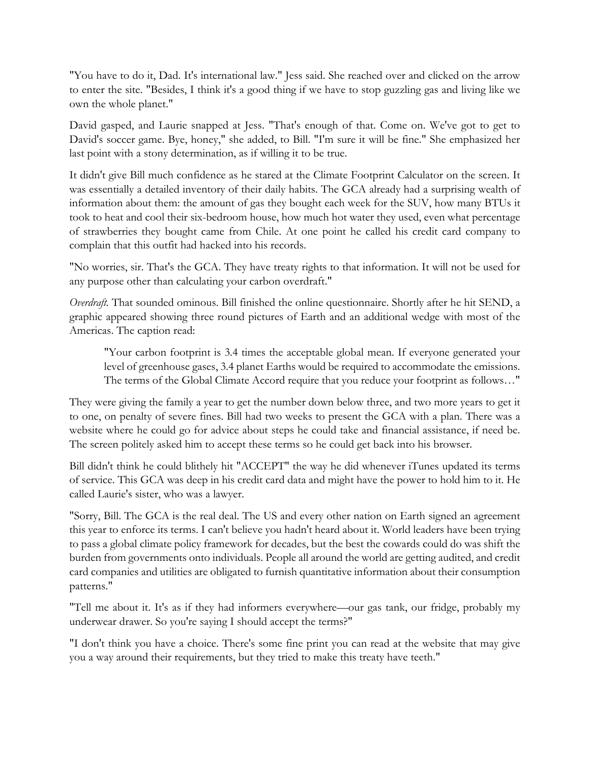"You have to do it, Dad. It's international law." Jess said. She reached over and clicked on the arrow to enter the site. "Besides, I think it's a good thing if we have to stop guzzling gas and living like we own the whole planet."

David gasped, and Laurie snapped at Jess. "That's enough of that. Come on. We've got to get to David's soccer game. Bye, honey," she added, to Bill. "I'm sure it will be fine." She emphasized her last point with a stony determination, as if willing it to be true.

It didn't give Bill much confidence as he stared at the Climate Footprint Calculator on the screen. It was essentially a detailed inventory of their daily habits. The GCA already had a surprising wealth of information about them: the amount of gas they bought each week for the SUV, how many BTUs it took to heat and cool their six-bedroom house, how much hot water they used, even what percentage of strawberries they bought came from Chile. At one point he called his credit card company to complain that this outfit had hacked into his records.

"No worries, sir. That's the GCA. They have treaty rights to that information. It will not be used for any purpose other than calculating your carbon overdraft."

*Overdraft.* That sounded ominous. Bill finished the online questionnaire. Shortly after he hit SEND, a graphic appeared showing three round pictures of Earth and an additional wedge with most of the Americas. The caption read:

"Your carbon footprint is 3.4 times the acceptable global mean. If everyone generated your level of greenhouse gases, 3.4 planet Earths would be required to accommodate the emissions. The terms of the Global Climate Accord require that you reduce your footprint as follows…"

They were giving the family a year to get the number down below three, and two more years to get it to one, on penalty of severe fines. Bill had two weeks to present the GCA with a plan. There was a website where he could go for advice about steps he could take and financial assistance, if need be. The screen politely asked him to accept these terms so he could get back into his browser.

Bill didn't think he could blithely hit "ACCEPT" the way he did whenever iTunes updated its terms of service. This GCA was deep in his credit card data and might have the power to hold him to it. He called Laurie's sister, who was a lawyer.

"Sorry, Bill. The GCA is the real deal. The US and every other nation on Earth signed an agreement this year to enforce its terms. I can't believe you hadn't heard about it. World leaders have been trying to pass a global climate policy framework for decades, but the best the cowards could do was shift the burden from governments onto individuals. People all around the world are getting audited, and credit card companies and utilities are obligated to furnish quantitative information about their consumption patterns."

"Tell me about it. It's as if they had informers everywhere—our gas tank, our fridge, probably my underwear drawer. So you're saying I should accept the terms?"

"I don't think you have a choice. There's some fine print you can read at the website that may give you a way around their requirements, but they tried to make this treaty have teeth."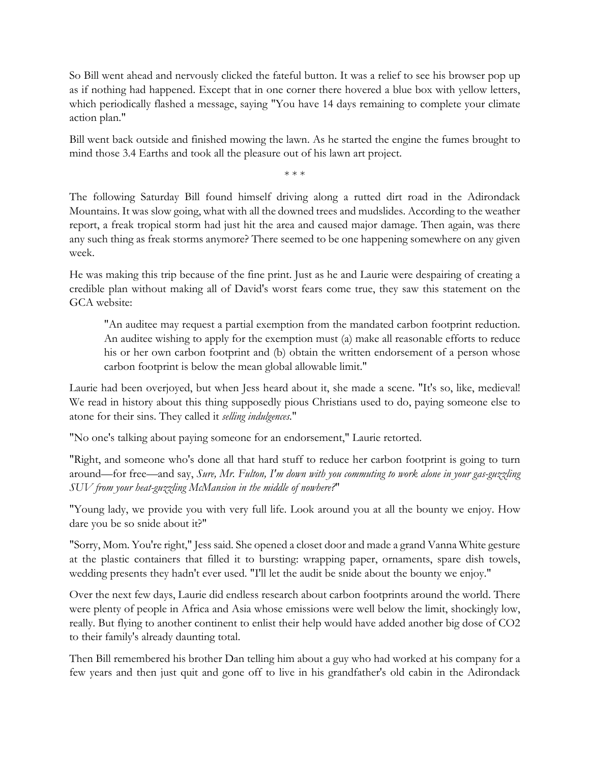So Bill went ahead and nervously clicked the fateful button. It was a relief to see his browser pop up as if nothing had happened. Except that in one corner there hovered a blue box with yellow letters, which periodically flashed a message, saying "You have 14 days remaining to complete your climate action plan."

Bill went back outside and finished mowing the lawn. As he started the engine the fumes brought to mind those 3.4 Earths and took all the pleasure out of his lawn art project.

\* \* \*

The following Saturday Bill found himself driving along a rutted dirt road in the Adirondack Mountains. It was slow going, what with all the downed trees and mudslides. According to the weather report, a freak tropical storm had just hit the area and caused major damage. Then again, was there any such thing as freak storms anymore? There seemed to be one happening somewhere on any given week.

He was making this trip because of the fine print. Just as he and Laurie were despairing of creating a credible plan without making all of David's worst fears come true, they saw this statement on the GCA website:

"An auditee may request a partial exemption from the mandated carbon footprint reduction. An auditee wishing to apply for the exemption must (a) make all reasonable efforts to reduce his or her own carbon footprint and (b) obtain the written endorsement of a person whose carbon footprint is below the mean global allowable limit."

Laurie had been overjoyed, but when Jess heard about it, she made a scene. "It's so, like, medieval! We read in history about this thing supposedly pious Christians used to do, paying someone else to atone for their sins. They called it *selling indulgences.*"

"No one's talking about paying someone for an endorsement," Laurie retorted.

"Right, and someone who's done all that hard stuff to reduce her carbon footprint is going to turn around—for free—and say, *Sure, Mr. Fulton, I'm down with you commuting to work alone in your gas-guzzling SUV from your heat-guzzling McMansion in the middle of nowhere?*"

"Young lady, we provide you with very full life. Look around you at all the bounty we enjoy. How dare you be so snide about it?"

"Sorry, Mom. You're right," Jess said. She opened a closet door and made a grand Vanna White gesture at the plastic containers that filled it to bursting: wrapping paper, ornaments, spare dish towels, wedding presents they hadn't ever used. "I'll let the audit be snide about the bounty we enjoy."

Over the next few days, Laurie did endless research about carbon footprints around the world. There were plenty of people in Africa and Asia whose emissions were well below the limit, shockingly low, really. But flying to another continent to enlist their help would have added another big dose of CO2 to their family's already daunting total.

Then Bill remembered his brother Dan telling him about a guy who had worked at his company for a few years and then just quit and gone off to live in his grandfather's old cabin in the Adirondack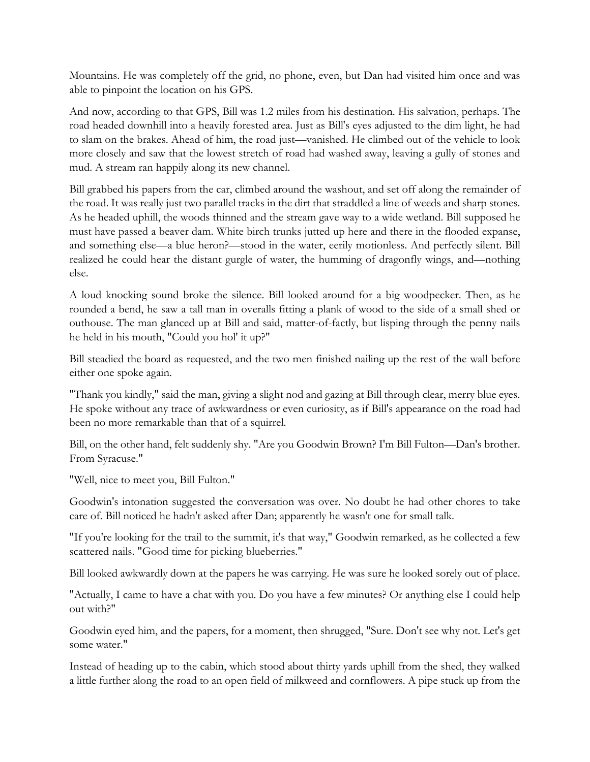Mountains. He was completely off the grid, no phone, even, but Dan had visited him once and was able to pinpoint the location on his GPS.

And now, according to that GPS, Bill was 1.2 miles from his destination. His salvation, perhaps. The road headed downhill into a heavily forested area. Just as Bill's eyes adjusted to the dim light, he had to slam on the brakes. Ahead of him, the road just—vanished. He climbed out of the vehicle to look more closely and saw that the lowest stretch of road had washed away, leaving a gully of stones and mud. A stream ran happily along its new channel.

Bill grabbed his papers from the car, climbed around the washout, and set off along the remainder of the road. It was really just two parallel tracks in the dirt that straddled a line of weeds and sharp stones. As he headed uphill, the woods thinned and the stream gave way to a wide wetland. Bill supposed he must have passed a beaver dam. White birch trunks jutted up here and there in the flooded expanse, and something else—a blue heron?—stood in the water, eerily motionless. And perfectly silent. Bill realized he could hear the distant gurgle of water, the humming of dragonfly wings, and—nothing else.

A loud knocking sound broke the silence. Bill looked around for a big woodpecker. Then, as he rounded a bend, he saw a tall man in overalls fitting a plank of wood to the side of a small shed or outhouse. The man glanced up at Bill and said, matter-of-factly, but lisping through the penny nails he held in his mouth, "Could you hol' it up?"

Bill steadied the board as requested, and the two men finished nailing up the rest of the wall before either one spoke again.

"Thank you kindly," said the man, giving a slight nod and gazing at Bill through clear, merry blue eyes. He spoke without any trace of awkwardness or even curiosity, as if Bill's appearance on the road had been no more remarkable than that of a squirrel.

Bill, on the other hand, felt suddenly shy. "Are you Goodwin Brown? I'm Bill Fulton—Dan's brother. From Syracuse."

"Well, nice to meet you, Bill Fulton."

Goodwin's intonation suggested the conversation was over. No doubt he had other chores to take care of. Bill noticed he hadn't asked after Dan; apparently he wasn't one for small talk.

"If you're looking for the trail to the summit, it's that way," Goodwin remarked, as he collected a few scattered nails. "Good time for picking blueberries."

Bill looked awkwardly down at the papers he was carrying. He was sure he looked sorely out of place.

"Actually, I came to have a chat with you. Do you have a few minutes? Or anything else I could help out with?"

Goodwin eyed him, and the papers, for a moment, then shrugged, "Sure. Don't see why not. Let's get some water."

Instead of heading up to the cabin, which stood about thirty yards uphill from the shed, they walked a little further along the road to an open field of milkweed and cornflowers. A pipe stuck up from the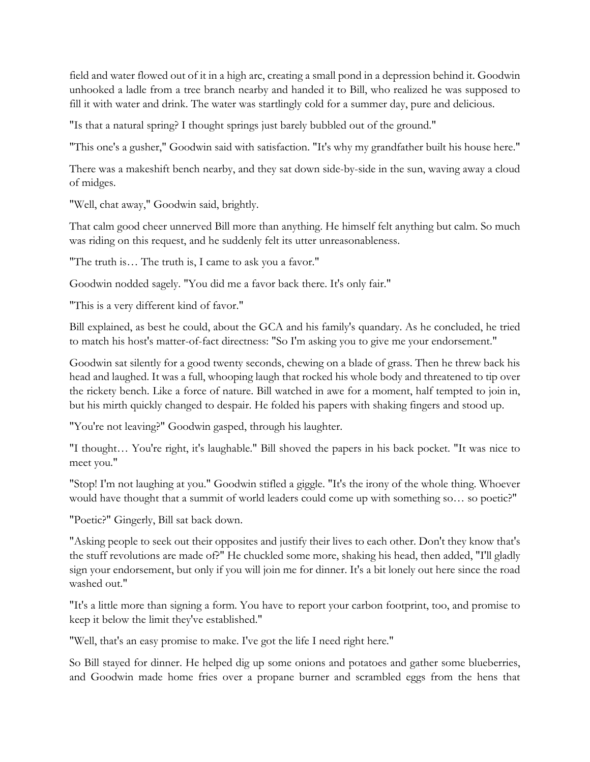field and water flowed out of it in a high arc, creating a small pond in a depression behind it. Goodwin unhooked a ladle from a tree branch nearby and handed it to Bill, who realized he was supposed to fill it with water and drink. The water was startlingly cold for a summer day, pure and delicious.

"Is that a natural spring? I thought springs just barely bubbled out of the ground."

"This one's a gusher," Goodwin said with satisfaction. "It's why my grandfather built his house here."

There was a makeshift bench nearby, and they sat down side-by-side in the sun, waving away a cloud of midges.

"Well, chat away," Goodwin said, brightly.

That calm good cheer unnerved Bill more than anything. He himself felt anything but calm. So much was riding on this request, and he suddenly felt its utter unreasonableness.

"The truth is… The truth is, I came to ask you a favor."

Goodwin nodded sagely. "You did me a favor back there. It's only fair."

"This is a very different kind of favor."

Bill explained, as best he could, about the GCA and his family's quandary. As he concluded, he tried to match his host's matter-of-fact directness: "So I'm asking you to give me your endorsement."

Goodwin sat silently for a good twenty seconds, chewing on a blade of grass. Then he threw back his head and laughed. It was a full, whooping laugh that rocked his whole body and threatened to tip over the rickety bench. Like a force of nature. Bill watched in awe for a moment, half tempted to join in, but his mirth quickly changed to despair. He folded his papers with shaking fingers and stood up.

"You're not leaving?" Goodwin gasped, through his laughter.

"I thought… You're right, it's laughable." Bill shoved the papers in his back pocket. "It was nice to meet you."

"Stop! I'm not laughing at you." Goodwin stifled a giggle. "It's the irony of the whole thing. Whoever would have thought that a summit of world leaders could come up with something so… so poetic?"

"Poetic?" Gingerly, Bill sat back down.

"Asking people to seek out their opposites and justify their lives to each other. Don't they know that's the stuff revolutions are made of?" He chuckled some more, shaking his head, then added, "I'll gladly sign your endorsement, but only if you will join me for dinner. It's a bit lonely out here since the road washed out."

"It's a little more than signing a form. You have to report your carbon footprint, too, and promise to keep it below the limit they've established."

"Well, that's an easy promise to make. I've got the life I need right here."

So Bill stayed for dinner. He helped dig up some onions and potatoes and gather some blueberries, and Goodwin made home fries over a propane burner and scrambled eggs from the hens that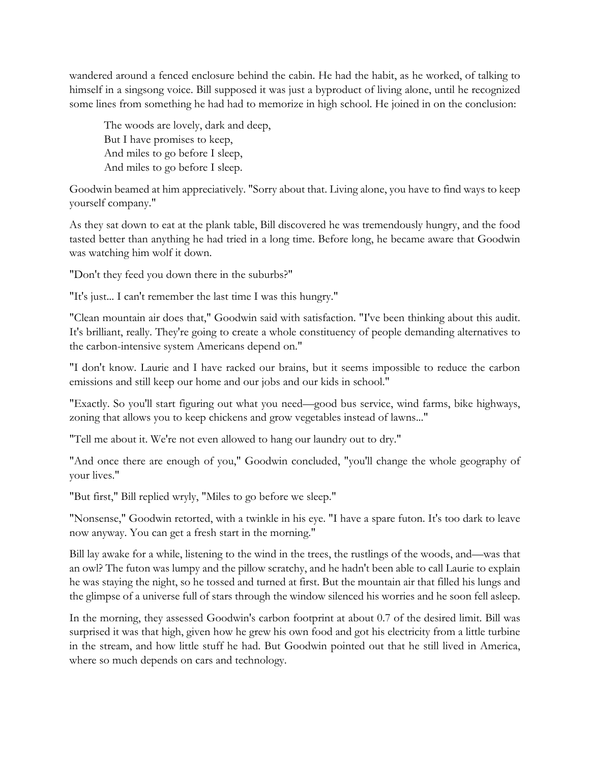wandered around a fenced enclosure behind the cabin. He had the habit, as he worked, of talking to himself in a singsong voice. Bill supposed it was just a byproduct of living alone, until he recognized some lines from something he had had to memorize in high school. He joined in on the conclusion:

The woods are lovely, dark and deep, But I have promises to keep, And miles to go before I sleep, And miles to go before I sleep.

Goodwin beamed at him appreciatively. "Sorry about that. Living alone, you have to find ways to keep yourself company."

As they sat down to eat at the plank table, Bill discovered he was tremendously hungry, and the food tasted better than anything he had tried in a long time. Before long, he became aware that Goodwin was watching him wolf it down.

"Don't they feed you down there in the suburbs?"

"It's just... I can't remember the last time I was this hungry."

"Clean mountain air does that," Goodwin said with satisfaction. "I've been thinking about this audit. It's brilliant, really. They're going to create a whole constituency of people demanding alternatives to the carbon-intensive system Americans depend on."

"I don't know. Laurie and I have racked our brains, but it seems impossible to reduce the carbon emissions and still keep our home and our jobs and our kids in school."

"Exactly. So you'll start figuring out what you need—good bus service, wind farms, bike highways, zoning that allows you to keep chickens and grow vegetables instead of lawns..."

"Tell me about it. We're not even allowed to hang our laundry out to dry."

"And once there are enough of you," Goodwin concluded, "you'll change the whole geography of your lives."

"But first," Bill replied wryly, "Miles to go before we sleep."

"Nonsense," Goodwin retorted, with a twinkle in his eye. "I have a spare futon. It's too dark to leave now anyway. You can get a fresh start in the morning."

Bill lay awake for a while, listening to the wind in the trees, the rustlings of the woods, and—was that an owl? The futon was lumpy and the pillow scratchy, and he hadn't been able to call Laurie to explain he was staying the night, so he tossed and turned at first. But the mountain air that filled his lungs and the glimpse of a universe full of stars through the window silenced his worries and he soon fell asleep.

In the morning, they assessed Goodwin's carbon footprint at about 0.7 of the desired limit. Bill was surprised it was that high, given how he grew his own food and got his electricity from a little turbine in the stream, and how little stuff he had. But Goodwin pointed out that he still lived in America, where so much depends on cars and technology.